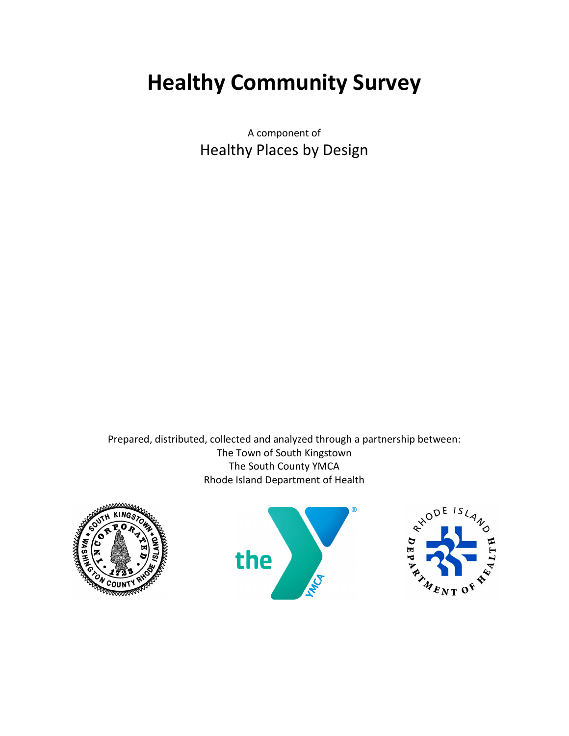# Healthy Community Survey

A component of Healthy Places by Design

Prepared, distributed, collected and analyzed through a partnership between: The Town of South Kingstown The South County YMCA Rhode Island Department of Health





®

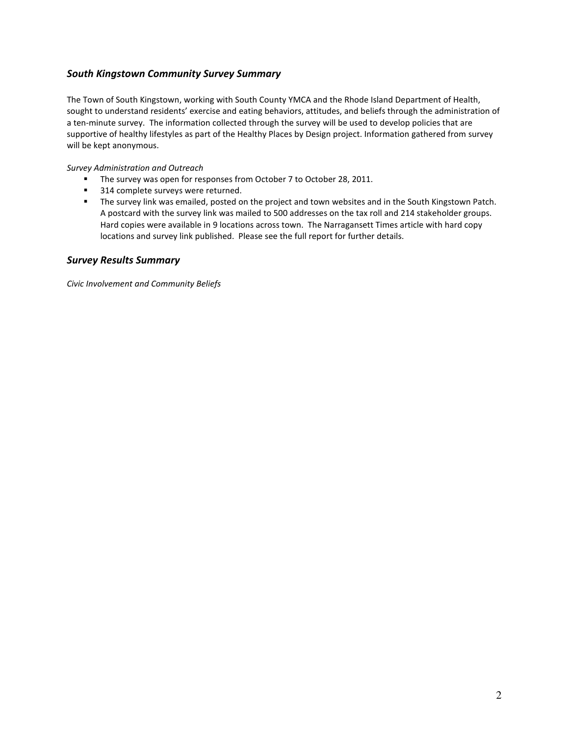## South Kingstown Community Survey Summary

The Town of South Kingstown, working with South County YMCA and the Rhode Island Department of Health, sought to understand residents' exercise and eating behaviors, attitudes, and beliefs through the administration of a ten-minute survey. The information collected through the survey will be used to develop policies that are supportive of healthy lifestyles as part of the Healthy Places by Design project. Information gathered from survey will be kept anonymous.

Survey Administration and Outreach

- **The survey was open for responses from October 7 to October 28, 2011.**
- 314 complete surveys were returned.
- The survey link was emailed, posted on the project and town websites and in the South Kingstown Patch. A postcard with the survey link was mailed to 500 addresses on the tax roll and 214 stakeholder groups. Hard copies were available in 9 locations across town. The Narragansett Times article with hard copy locations and survey link published. Please see the full report for further details.

#### Survey Results Summary

Civic Involvement and Community Beliefs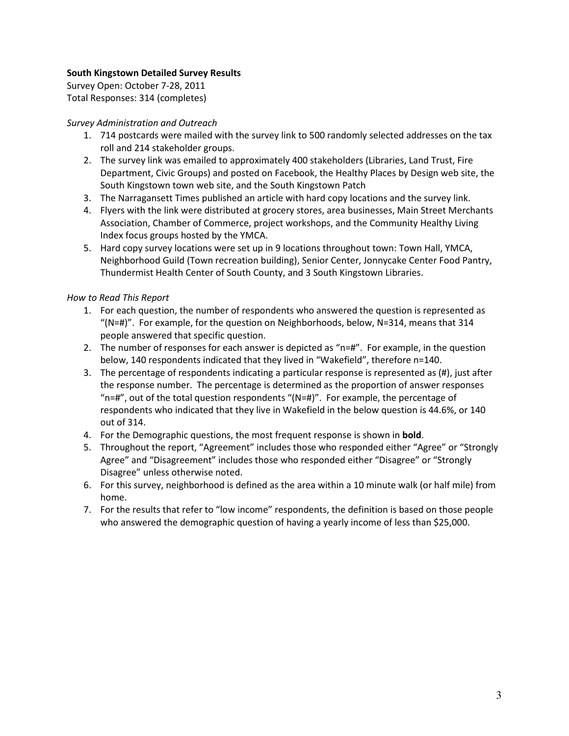### South Kingstown Detailed Survey Results

Survey Open: October 7-28, 2011 Total Responses: 314 (completes)

#### Survey Administration and Outreach

- 1. 714 postcards were mailed with the survey link to 500 randomly selected addresses on the tax roll and 214 stakeholder groups.
- 2. The survey link was emailed to approximately 400 stakeholders (Libraries, Land Trust, Fire Department, Civic Groups) and posted on Facebook, the Healthy Places by Design web site, the South Kingstown town web site, and the South Kingstown Patch
- 3. The Narragansett Times published an article with hard copy locations and the survey link.
- 4. Flyers with the link were distributed at grocery stores, area businesses, Main Street Merchants Association, Chamber of Commerce, project workshops, and the Community Healthy Living Index focus groups hosted by the YMCA.
- 5. Hard copy survey locations were set up in 9 locations throughout town: Town Hall, YMCA, Neighborhood Guild (Town recreation building), Senior Center, Jonnycake Center Food Pantry, Thundermist Health Center of South County, and 3 South Kingstown Libraries.

#### How to Read This Report

- 1. For each question, the number of respondents who answered the question is represented as "( $N=#$ )". For example, for the question on Neighborhoods, below,  $N=314$ , means that 314 people answered that specific question.
- 2. The number of responses for each answer is depicted as "n=#". For example, in the question below, 140 respondents indicated that they lived in "Wakefield", therefore n=140.
- 3. The percentage of respondents indicating a particular response is represented as (#), just after the response number. The percentage is determined as the proportion of answer responses " $n=#$ ", out of the total question respondents "( $N=#$ )". For example, the percentage of respondents who indicated that they live in Wakefield in the below question is 44.6%, or 140 out of 314.
- 4. For the Demographic questions, the most frequent response is shown in **bold**.
- 5. Throughout the report, "Agreement" includes those who responded either "Agree" or "Strongly Agree" and "Disagreement" includes those who responded either "Disagree" or "Strongly Disagree" unless otherwise noted.
- 6. For this survey, neighborhood is defined as the area within a 10 minute walk (or half mile) from home.
- 7. For the results that refer to "low income" respondents, the definition is based on those people who answered the demographic question of having a yearly income of less than \$25,000.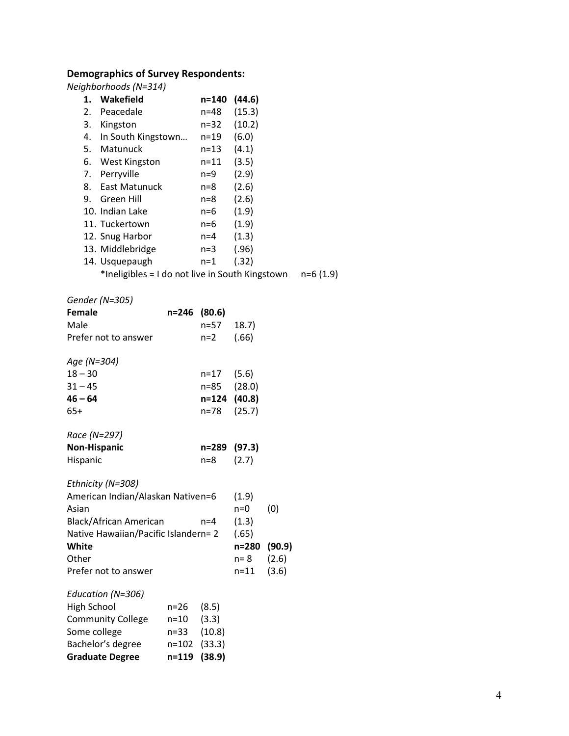## Demographics of Survey Respondents:

Neighborhoods (N=314)

| Wakefield<br>1.                                 |                    | n=140          | (44.6)   |        |            |
|-------------------------------------------------|--------------------|----------------|----------|--------|------------|
| 2. Peacedale                                    |                    | n=48           | (15.3)   |        |            |
| 3. Kingston                                     |                    | $n = 32$       | (10.2)   |        |            |
| 4. In South Kingstown                           |                    | n=19           | (6.0)    |        |            |
| 5. Matunuck                                     |                    | $n = 13$       | (4.1)    |        |            |
| 6. West Kingston                                |                    | $n = 11$       | (3.5)    |        |            |
| 7. Perryville                                   |                    | n=9            | (2.9)    |        |            |
| 8. East Matunuck                                |                    | $n=8$          | (2.6)    |        |            |
| Green Hill<br>9.                                |                    | $n = 8$        | (2.6)    |        |            |
| 10. Indian Lake                                 |                    | $n=6$          | (1.9)    |        |            |
| 11. Tuckertown                                  |                    | $n=6$          | (1.9)    |        |            |
| 12. Snug Harbor                                 |                    | $n = 4$        | (1.3)    |        |            |
| 13. Middlebridge                                |                    | $n=3$          | (.96)    |        |            |
| 14. Usquepaugh                                  |                    | $n=1$          | (.32)    |        |            |
| *Ineligibles = I do not live in South Kingstown |                    |                |          |        | $n=6(1.9)$ |
|                                                 |                    |                |          |        |            |
| Gender (N=305)                                  |                    |                |          |        |            |
| Female                                          | n=246 (80.6)       |                |          |        |            |
| Male                                            |                    | n=57           | 18.7)    |        |            |
| Prefer not to answer                            |                    | $n=2$          | (.66)    |        |            |
| Age (N=304)                                     |                    |                |          |        |            |
| $18 - 30$                                       |                    | $n = 17$       | (5.6)    |        |            |
| $31 - 45$                                       |                    | n=85           | (28.0)   |        |            |
| $46 - 64$                                       |                    | n=124          | (40.8)   |        |            |
| $65+$                                           |                    | n=78           | (25.7)   |        |            |
|                                                 |                    |                |          |        |            |
| Race (N=297)                                    |                    |                |          |        |            |
| <b>Non-Hispanic</b>                             |                    | n=289          | (97.3)   |        |            |
| Hispanic                                        |                    | $n=8$          | (2.7)    |        |            |
|                                                 |                    |                |          |        |            |
| Ethnicity (N=308)                               |                    |                |          |        |            |
| American Indian/Alaskan Nativen=6               |                    |                | (1.9)    |        |            |
| Asian                                           |                    |                | $n=0$    | (0)    |            |
| Black/African American                          |                    | $n=4$          | (1.3)    |        |            |
| Native Hawaiian/Pacific Islandern= 2            |                    |                | (.65)    |        |            |
| White                                           |                    |                | n=280    | (90.9) |            |
| Other                                           |                    |                | $n = 8$  | (2.6)  |            |
| Prefer not to answer                            |                    |                | $n = 11$ | (3.6)  |            |
|                                                 |                    |                |          |        |            |
| Education (N=306)                               |                    |                |          |        |            |
| <b>High School</b><br><b>Community College</b>  | $n = 26$<br>$n=10$ | (8.5)<br>(3.3) |          |        |            |
| Some college                                    | n=33               | (10.8)         |          |        |            |
| Bachelor's degree                               | n=102              | (33.3)         |          |        |            |
| <b>Graduate Degree</b>                          | n=119              | (38.9)         |          |        |            |
|                                                 |                    |                |          |        |            |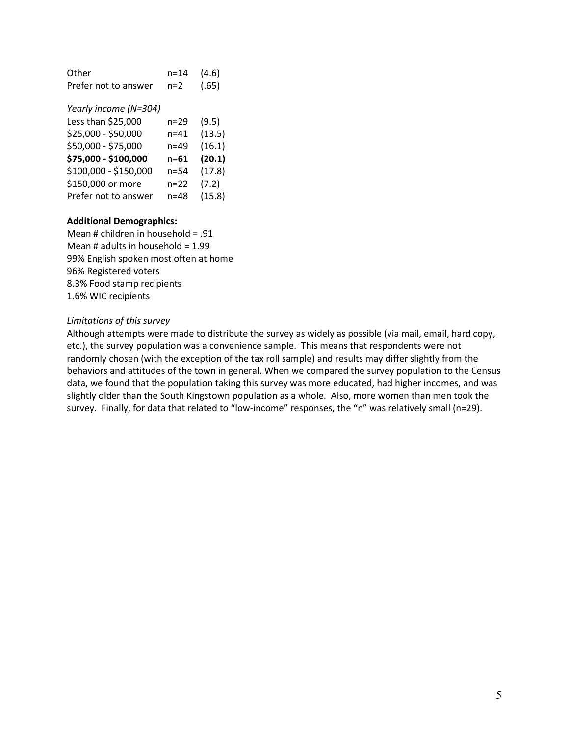| Other                | n=14  | (4.6) |
|----------------------|-------|-------|
| Prefer not to answer | $n=2$ | (.65) |

Yearly income (N=304)

| Less than \$25,000    | n=29     | (9.5)  |
|-----------------------|----------|--------|
| \$25,000 - \$50,000   | n=41     | (13.5) |
| \$50,000 - \$75,000   | n=49     | (16.1) |
| \$75,000 - \$100,000  | n=61     | (20.1) |
| \$100,000 - \$150,000 | n=54     | (17.8) |
| \$150,000 or more     | $n = 22$ | (7.2)  |
| Prefer not to answer  | $n=48$   | (15.8) |

#### Additional Demographics:

Mean # children in household = .91 Mean  $#$  adults in household = 1.99 99% English spoken most often at home 96% Registered voters 8.3% Food stamp recipients 1.6% WIC recipients

#### Limitations of this survey

Although attempts were made to distribute the survey as widely as possible (via mail, email, hard copy, etc.), the survey population was a convenience sample. This means that respondents were not randomly chosen (with the exception of the tax roll sample) and results may differ slightly from the behaviors and attitudes of the town in general. When we compared the survey population to the Census data, we found that the population taking this survey was more educated, had higher incomes, and was slightly older than the South Kingstown population as a whole. Also, more women than men took the survey. Finally, for data that related to "low-income" responses, the "n" was relatively small (n=29).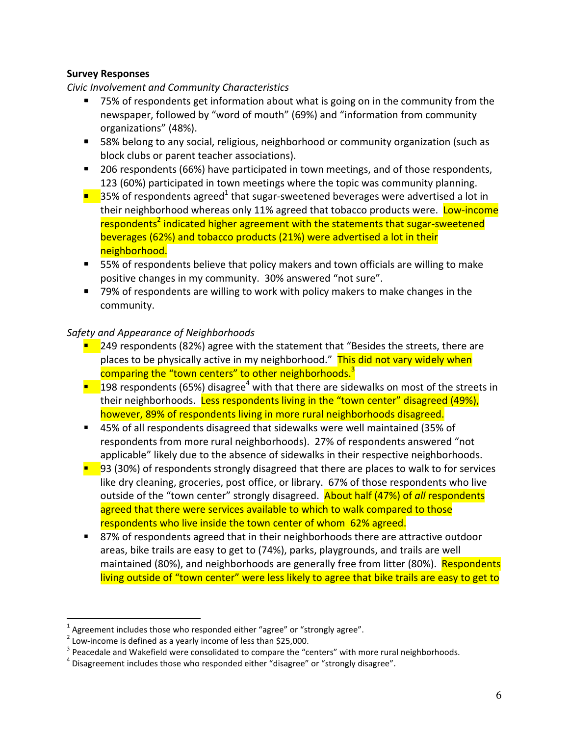## Survey Responses

Civic Involvement and Community Characteristics

- 75% of respondents get information about what is going on in the community from the newspaper, followed by "word of mouth" (69%) and "information from community organizations" (48%).
- 58% belong to any social, religious, neighborhood or community organization (such as block clubs or parent teacher associations).
- 206 respondents (66%) have participated in town meetings, and of those respondents, 123 (60%) participated in town meetings where the topic was community planning.
- $\blacksquare$  35% of respondents agreed<sup>1</sup> that sugar-sweetened beverages were advertised a lot in their neighborhood whereas only 11% agreed that tobacco products were. Low-income respondents<sup>2</sup> indicated higher agreement with the statements that sugar-sweetened beverages (62%) and tobacco products (21%) were advertised a lot in their neighborhood.
- 55% of respondents believe that policy makers and town officials are willing to make positive changes in my community. 30% answered "not sure".
- 79% of respondents are willing to work with policy makers to make changes in the community.

## Safety and Appearance of Neighborhoods

- $\blacksquare$  249 respondents (82%) agree with the statement that "Besides the streets, there are places to be physically active in my neighborhood." This did not vary widely when comparing the "town centers" to other neighborhoods.<sup>3</sup>
- $\blacksquare$  198 respondents (65%) disagree<sup>4</sup> with that there are sidewalks on most of the streets in their neighborhoods. Less respondents living in the "town center" disagreed (49%), however, 89% of respondents living in more rural neighborhoods disagreed.
- 45% of all respondents disagreed that sidewalks were well maintained (35% of respondents from more rural neighborhoods). 27% of respondents answered "not applicable" likely due to the absence of sidewalks in their respective neighborhoods.
- $\blacksquare$  93 (30%) of respondents strongly disagreed that there are places to walk to for services like dry cleaning, groceries, post office, or library. 67% of those respondents who live outside of the "town center" strongly disagreed. About half (47%) of all respondents agreed that there were services available to which to walk compared to those respondents who live inside the town center of whom 62% agreed.
- 87% of respondents agreed that in their neighborhoods there are attractive outdoor areas, bike trails are easy to get to (74%), parks, playgrounds, and trails are well maintained (80%), and neighborhoods are generally free from litter (80%). Respondents living outside of "town center" were less likely to agree that bike trails are easy to get to

l.

<sup>1</sup> Agreement includes those who responded either "agree" or "strongly agree".

<sup>&</sup>lt;sup>2</sup> Low-income is defined as a yearly income of less than \$25,000.

 $3$  Peacedale and Wakefield were consolidated to compare the "centers" with more rural neighborhoods.

 $^4$  Disagreement includes those who responded either "disagree" or "strongly disagree".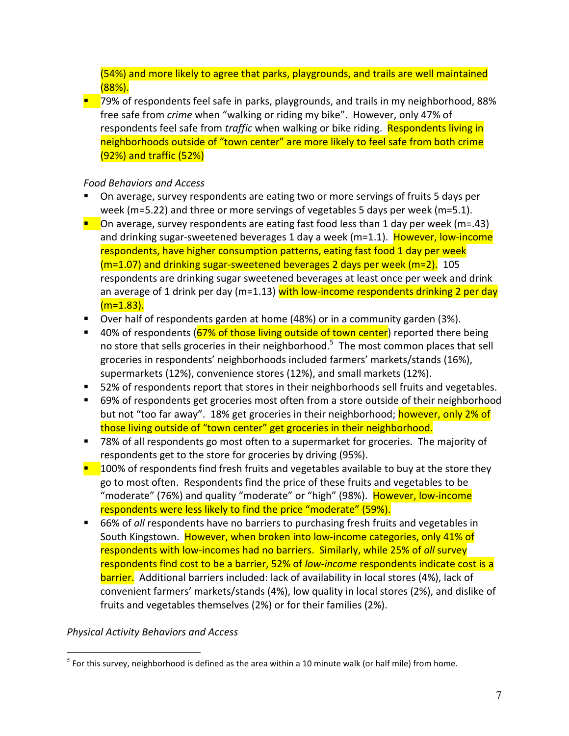(54%) and more likely to agree that parks, playgrounds, and trails are well maintained (88%).

■ 79% of respondents feel safe in parks, playgrounds, and trails in my neighborhood, 88% free safe from crime when "walking or riding my bike". However, only 47% of respondents feel safe from *traffic* when walking or bike riding. Respondents living in neighborhoods outside of "town center" are more likely to feel safe from both crime (92%) and traffic (52%)

## Food Behaviors and Access

- On average, survey respondents are eating two or more servings of fruits 5 days per week (m=5.22) and three or more servings of vegetables 5 days per week (m=5.1).
- **O**n average, survey respondents are eating fast food less than 1 day per week ( $m=43$ ) and drinking sugar-sweetened beverages 1 day a week (m=1.1). However, low-income respondents, have higher consumption patterns, eating fast food 1 day per week (m=1.07) and drinking sugar-sweetened beverages 2 days per week (m=2). 105 respondents are drinking sugar sweetened beverages at least once per week and drink an average of 1 drink per day ( $m=1.13$ ) with low-income respondents drinking 2 per day  $(m=1.83)$ .
- Over half of respondents garden at home (48%) or in a community garden (3%).
- 40% of respondents (67% of those living outside of town center) reported there being no store that sells groceries in their neighborhood.<sup>5</sup> The most common places that sell groceries in respondents' neighborhoods included farmers' markets/stands (16%), supermarkets (12%), convenience stores (12%), and small markets (12%).
- 52% of respondents report that stores in their neighborhoods sell fruits and vegetables.
- 69% of respondents get groceries most often from a store outside of their neighborhood but not "too far away". 18% get groceries in their neighborhood; however, only 2% of those living outside of "town center" get groceries in their neighborhood.
- 78% of all respondents go most often to a supermarket for groceries. The majority of respondents get to the store for groceries by driving (95%).
- $\blacksquare$  100% of respondents find fresh fruits and vegetables available to buy at the store they go to most often. Respondents find the price of these fruits and vegetables to be "moderate" (76%) and quality "moderate" or "high" (98%). However, low-income respondents were less likely to find the price "moderate" (59%).
- 66% of all respondents have no barriers to purchasing fresh fruits and vegetables in South Kingstown. However, when broken into low-income categories, only 41% of respondents with low-incomes had no barriers. Similarly, while 25% of all survey respondents find cost to be a barrier, 52% of low-income respondents indicate cost is a barrier. Additional barriers included: lack of availability in local stores (4%), lack of convenient farmers' markets/stands (4%), low quality in local stores (2%), and dislike of fruits and vegetables themselves (2%) or for their families (2%).

## Physical Activity Behaviors and Access

 $\overline{a}$ 

<sup>&</sup>lt;sup>5</sup> For this survey, neighborhood is defined as the area within a 10 minute walk (or half mile) from home.